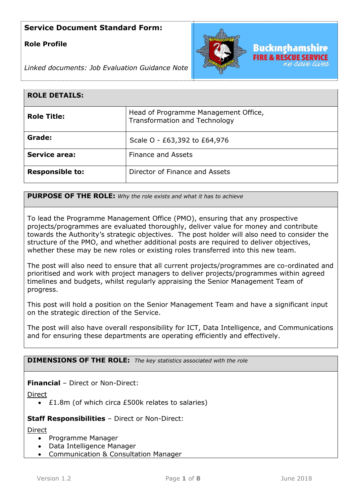## **Role Profile**



*Linked documents: Job Evaluation Guidance Note*

| <b>ROLE DETAILS:</b>   |                                                                       |
|------------------------|-----------------------------------------------------------------------|
| <b>Role Title:</b>     | Head of Programme Management Office,<br>Transformation and Technology |
| Grade:                 | Scale O - £63,392 to £64,976                                          |
| <b>Service area:</b>   | <b>Finance and Assets</b>                                             |
| <b>Responsible to:</b> | Director of Finance and Assets                                        |

**PURPOSE OF THE ROLE:** *Why the role exists and what it has to achieve* 

To lead the Programme Management Office (PMO), ensuring that any prospective projects/programmes are evaluated thoroughly, deliver value for money and contribute towards the Authority's strategic objectives. The post holder will also need to consider the structure of the PMO, and whether additional posts are required to deliver objectives, whether these may be new roles or existing roles transferred into this new team.

The post will also need to ensure that all current projects/programmes are co-ordinated and prioritised and work with project managers to deliver projects/programmes within agreed timelines and budgets, whilst regularly appraising the Senior Management Team of progress.

This post will hold a position on the Senior Management Team and have a significant input on the strategic direction of the Service.

The post will also have overall responsibility for ICT, Data Intelligence, and Communications and for ensuring these departments are operating efficiently and effectively.

### **DIMENSIONS OF THE ROLE:** *The key statistics associated with the role*

**Financial** – Direct or Non-Direct:

Direct

£1.8m (of which circa £500k relates to salaries)

### **Staff Responsibilities** – Direct or Non-Direct:

Direct

- Programme Manager
- Data Intelligence Manager
- Communication & Consultation Manager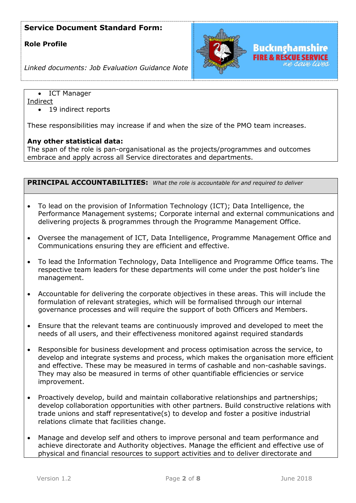### **Role Profile**



*Linked documents: Job Evaluation Guidance Note*

ICT Manager

Indirect

• 19 indirect reports

These responsibilities may increase if and when the size of the PMO team increases.

### **Any other statistical data:**

The span of the role is pan-organisational as the projects/programmes and outcomes embrace and apply across all Service directorates and departments.

| PRINCIPAL ACCOUNTABILITIES: What the role is accountable for and required to deliver |                                                                                                                                                                                                                                                                                                                                                                           |  |
|--------------------------------------------------------------------------------------|---------------------------------------------------------------------------------------------------------------------------------------------------------------------------------------------------------------------------------------------------------------------------------------------------------------------------------------------------------------------------|--|
| $\bullet$                                                                            | To lead on the provision of Information Technology (ICT); Data Intelligence, the<br>Performance Management systems; Corporate internal and external communications and<br>delivering projects & programmes through the Programme Management Office.                                                                                                                       |  |
| $\bullet$                                                                            | Oversee the management of ICT, Data Intelligence, Programme Management Office and<br>Communications ensuring they are efficient and effective.                                                                                                                                                                                                                            |  |
| $\bullet$                                                                            | To lead the Information Technology, Data Intelligence and Programme Office teams. The<br>respective team leaders for these departments will come under the post holder's line<br>management.                                                                                                                                                                              |  |
| $\bullet$                                                                            | Accountable for delivering the corporate objectives in these areas. This will include the<br>formulation of relevant strategies, which will be formalised through our internal<br>governance processes and will require the support of both Officers and Members.                                                                                                         |  |
| $\bullet$                                                                            | Ensure that the relevant teams are continuously improved and developed to meet the<br>needs of all users, and their effectiveness monitored against required standards                                                                                                                                                                                                    |  |
| $\bullet$                                                                            | Responsible for business development and process optimisation across the service, to<br>develop and integrate systems and process, which makes the organisation more efficient<br>and effective. These may be measured in terms of cashable and non-cashable savings.<br>They may also be measured in terms of other quantifiable efficiencies or service<br>improvement. |  |
| $\bullet$                                                                            | Proactively develop, build and maintain collaborative relationships and partnerships;<br>develop collaboration opportunities with other partners. Build constructive relations with<br>trade unions and staff representative(s) to develop and foster a positive industrial<br>relations climate that facilities change.                                                  |  |
| $\bullet$                                                                            | Manage and develop self and others to improve personal and team performance and<br>achieve directorate and Authority objectives. Manage the efficient and effective use of<br>physical and financial resources to support activities and to deliver directorate and                                                                                                       |  |
|                                                                                      |                                                                                                                                                                                                                                                                                                                                                                           |  |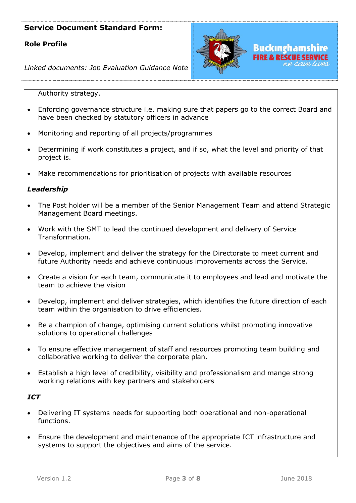# **Role Profile**



*Linked documents: Job Evaluation Guidance Note*

Authority strategy.

- Enforcing governance structure i.e. making sure that papers go to the correct Board and have been checked by statutory officers in advance
- Monitoring and reporting of all projects/programmes
- Determining if work constitutes a project, and if so, what the level and priority of that project is.
- Make recommendations for prioritisation of projects with available resources

### *Leadership*

- The Post holder will be a member of the Senior Management Team and attend Strategic Management Board meetings.
- Work with the SMT to lead the continued development and delivery of Service Transformation.
- Develop, implement and deliver the strategy for the Directorate to meet current and future Authority needs and achieve continuous improvements across the Service.
- Create a vision for each team, communicate it to employees and lead and motivate the team to achieve the vision
- Develop, implement and deliver strategies, which identifies the future direction of each team within the organisation to drive efficiencies.
- Be a champion of change, optimising current solutions whilst promoting innovative solutions to operational challenges
- To ensure effective management of staff and resources promoting team building and collaborative working to deliver the corporate plan.
- Establish a high level of credibility, visibility and professionalism and mange strong working relations with key partners and stakeholders

### *ICT*

- Delivering IT systems needs for supporting both operational and non-operational functions.
- Ensure the development and maintenance of the appropriate ICT infrastructure and systems to support the objectives and aims of the service.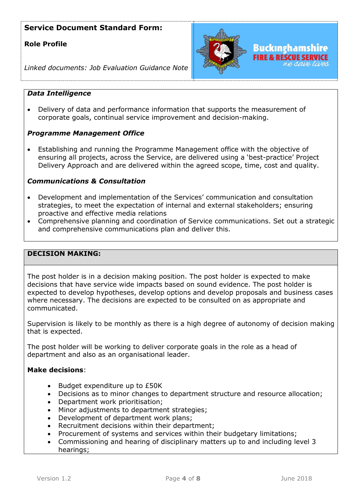# **Role Profile**



*Linked documents: Job Evaluation Guidance Note*

### *Data Intelligence*

 Delivery of data and performance information that supports the measurement of corporate goals, continual service improvement and decision-making.

### *Programme Management Office*

 Establishing and running the Programme Management office with the objective of ensuring all projects, across the Service, are delivered using a 'best-practice' Project Delivery Approach and are delivered within the agreed scope, time, cost and quality.

### *Communications & Consultation*

- Development and implementation of the Services' communication and consultation strategies, to meet the expectation of internal and external stakeholders; ensuring proactive and effective media relations
- Comprehensive planning and coordination of Service communications. Set out a strategic and comprehensive communications plan and deliver this.

#### **DECISION MAKING:**

The post holder is in a decision making position. The post holder is expected to make decisions that have service wide impacts based on sound evidence. The post holder is expected to develop hypotheses, develop options and develop proposals and business cases where necessary. The decisions are expected to be consulted on as appropriate and communicated.

Supervision is likely to be monthly as there is a high degree of autonomy of decision making that is expected.

The post holder will be working to deliver corporate goals in the role as a head of department and also as an organisational leader.

### **Make decisions**:

- Budget expenditure up to £50K
- Decisions as to minor changes to department structure and resource allocation;
- Department work prioritisation;
- Minor adjustments to department strategies;
- Development of department work plans;
- Recruitment decisions within their department:
- Procurement of systems and services within their budgetary limitations;
- Commissioning and hearing of disciplinary matters up to and including level 3 hearings;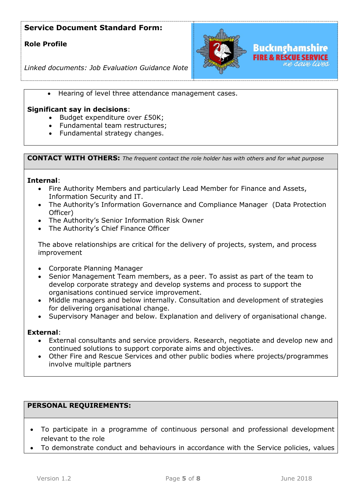# **Role Profile**



*Linked documents: Job Evaluation Guidance Note*

Hearing of level three attendance management cases.

### **Significant say in decisions**:

- Budget expenditure over £50K;
- Fundamental team restructures;
- Fundamental strategy changes.

**CONTACT WITH OTHERS:** *The frequent contact the role holder has with others and for what purpose* 

#### **Internal**:

- Fire Authority Members and particularly Lead Member for Finance and Assets, Information Security and IT.
- The Authority's Information Governance and Compliance Manager (Data Protection Officer)
- The Authority's Senior Information Risk Owner
- The Authority's Chief Finance Officer

The above relationships are critical for the delivery of projects, system, and process improvement

- Corporate Planning Manager
- Senior Management Team members, as a peer. To assist as part of the team to develop corporate strategy and develop systems and process to support the organisations continued service improvement.
- Middle managers and below internally. Consultation and development of strategies for delivering organisational change.
- Supervisory Manager and below. Explanation and delivery of organisational change.

### **External**:

- External consultants and service providers. Research, negotiate and develop new and continued solutions to support corporate aims and objectives.
- Other Fire and Rescue Services and other public bodies where projects/programmes involve multiple partners

### **PERSONAL REQUIREMENTS:**

- To participate in a programme of continuous personal and professional development relevant to the role
- To demonstrate conduct and behaviours in accordance with the Service policies, values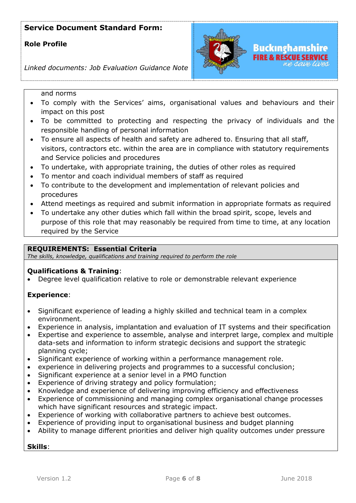## **Role Profile**



*Linked documents: Job Evaluation Guidance Note*

and norms

- To comply with the Services' aims, organisational values and behaviours and their impact on this post
- To be committed to protecting and respecting the privacy of individuals and the responsible handling of personal information
- To ensure all aspects of health and safety are adhered to. Ensuring that all staff, visitors, contractors etc. within the area are in compliance with statutory requirements and Service policies and procedures
- To undertake, with appropriate training, the duties of other roles as required
- To mentor and coach individual members of staff as required
- To contribute to the development and implementation of relevant policies and procedures
- Attend meetings as required and submit information in appropriate formats as required
- To undertake any other duties which fall within the broad spirit, scope, levels and purpose of this role that may reasonably be required from time to time, at any location required by the Service

### **REQUIREMENTS: Essential Criteria**

*The skills, knowledge, qualifications and training required to perform the role*

### **Qualifications & Training**:

Degree level qualification relative to role or demonstrable relevant experience

### **Experience**:

- Significant experience of leading a highly skilled and technical team in a complex environment.
- Experience in analysis, implantation and evaluation of IT systems and their specification
- Expertise and experience to assemble, analyse and interpret large, complex and multiple data-sets and information to inform strategic decisions and support the strategic planning cycle;
- Significant experience of working within a performance management role.
- experience in delivering projects and programmes to a successful conclusion;
- Significant experience at a senior level in a PMO function
- Experience of driving strategy and policy formulation;
- Knowledge and experience of delivering improving efficiency and effectiveness
- Experience of commissioning and managing complex organisational change processes which have significant resources and strategic impact.
- Experience of working with collaborative partners to achieve best outcomes.
- Experience of providing input to organisational business and budget planning
- Ability to manage different priorities and deliver high quality outcomes under pressure

### **Skills**: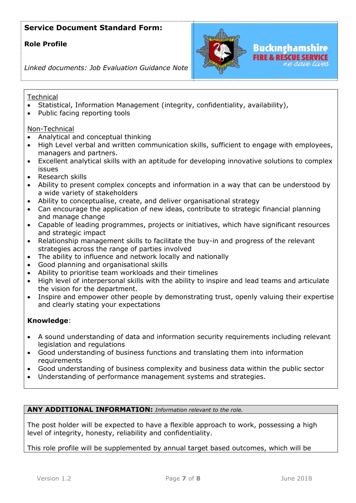# **Role Profile**



*Linked documents: Job Evaluation Guidance Note*

### **Technical**

- Statistical, Information Management (integrity, confidentiality, availability),
- Public facing reporting tools

### Non-Technical

- Analytical and conceptual thinking
- High Level verbal and written communication skills, sufficient to engage with employees, managers and partners.
- Excellent analytical skills with an aptitude for developing innovative solutions to complex issues
- Research skills
- Ability to present complex concepts and information in a way that can be understood by a wide variety of stakeholders
- Ability to conceptualise, create, and deliver organisational strategy
- Can encourage the application of new ideas, contribute to strategic financial planning and manage change
- Capable of leading programmes, projects or initiatives, which have significant resources and strategic impact
- Relationship management skills to facilitate the buy-in and progress of the relevant strategies across the range of parties involved
- The ability to influence and network locally and nationally
- Good planning and organisational skills
- Ability to prioritise team workloads and their timelines
- High level of interpersonal skills with the ability to inspire and lead teams and articulate the vision for the department.
- Inspire and empower other people by demonstrating trust, openly valuing their expertise and clearly stating your expectations

### **Knowledge**:

- A sound understanding of data and information security requirements including relevant legislation and regulations
- Good understanding of business functions and translating them into information requirements
- Good understanding of business complexity and business data within the public sector
- Understanding of performance management systems and strategies.

### **ANY ADDITIONAL INFORMATION:** *Information relevant to the role.*

The post holder will be expected to have a flexible approach to work, possessing a high level of integrity, honesty, reliability and confidentiality.

This role profile will be supplemented by annual target based outcomes, which will be